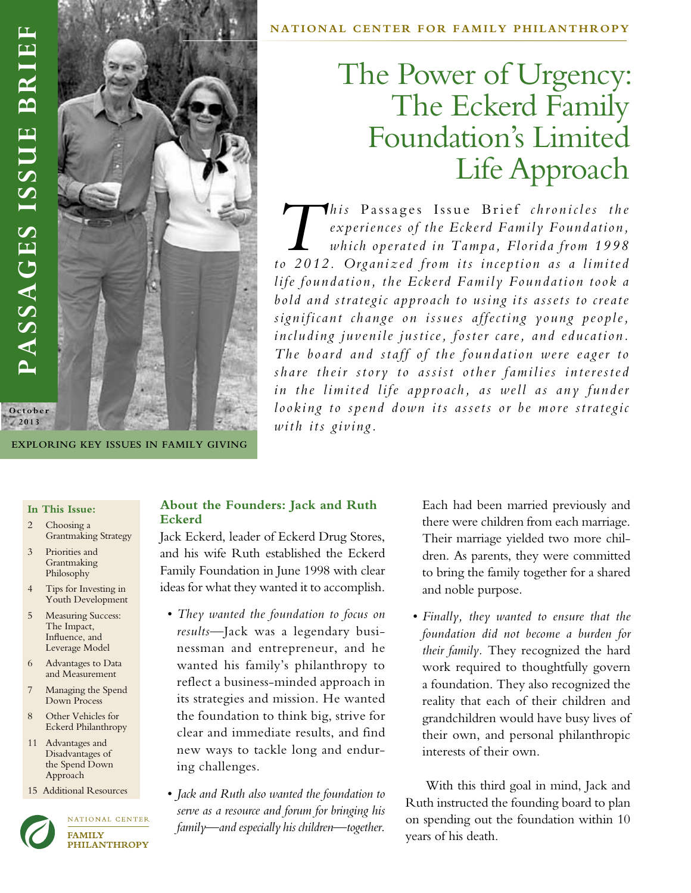

**Exploring Key Issues in Family Giving**

# The Power of Urgency: The Eckerd Family Foundation's Limited Life Approach

*This* Passages Issue Brief chronicles the experiences of the Eckerd Family Foundation, which operated in Tampa, Florida from 1998 *experiences of the Eckerd Family Foundation, which operated in Tampa, Florida from 1998 to 2012. Organized from its inception as a limited life foundation, the Eckerd Family Foundation took a bold and strategic approach to using its assets to create significant change on issues affecting young people, including juvenile justice, foster care, and education. The board and staff of the foundation were eager to share their story to assist other families interested*  in the limited life approach, as well as any funder *looking to spend down its assets or be more strategic with its giving.* 

#### **In This Issue:**

- 2 Choosing a Grantmaking Strategy
- 3 Priorities and Grantmaking Philosophy
- Tips for Investing in Youth Development
- Measuring Success: The Impact, Influence, and Leverage Model
- 6 Advantages to Data and Measurement
- 7 Managing the Spend Down Process
- 8 Other Vehicles for Eckerd Philanthropy
- 11 Advantages and Disadvantages of the Spend Down Approach
- 15 Additional Resources



NATIONAL CENTER **FAMILY PHILANTHROPY** 

# **About the Founders: Jack and Ruth Eckerd**

Jack Eckerd, leader of Eckerd Drug Stores, and his wife Ruth established the Eckerd Family Foundation in June 1998 with clear ideas for what they wanted it to accomplish.

- *• They wanted the foundation to focus on results*—Jack was a legendary businessman and entrepreneur, and he wanted his family's philanthropy to reflect a business-minded approach in its strategies and mission. He wanted the foundation to think big, strive for clear and immediate results, and find new ways to tackle long and enduring challenges.
- *• Jack and Ruth also wanted the foundation to serve as a resource and forum for bringing his family—and especially his children—together*.

Each had been married previously and there were children from each marriage. Their marriage yielded two more children. As parents, they were committed to bring the family together for a shared and noble purpose.

*• Finally, they wanted to ensure that the foundation did not become a burden for their family.* They recognized the hard work required to thoughtfully govern a foundation. They also recognized the reality that each of their children and grandchildren would have busy lives of their own, and personal philanthropic interests of their own.

With this third goal in mind, Jack and Ruth instructed the founding board to plan on spending out the foundation within 10 years of his death.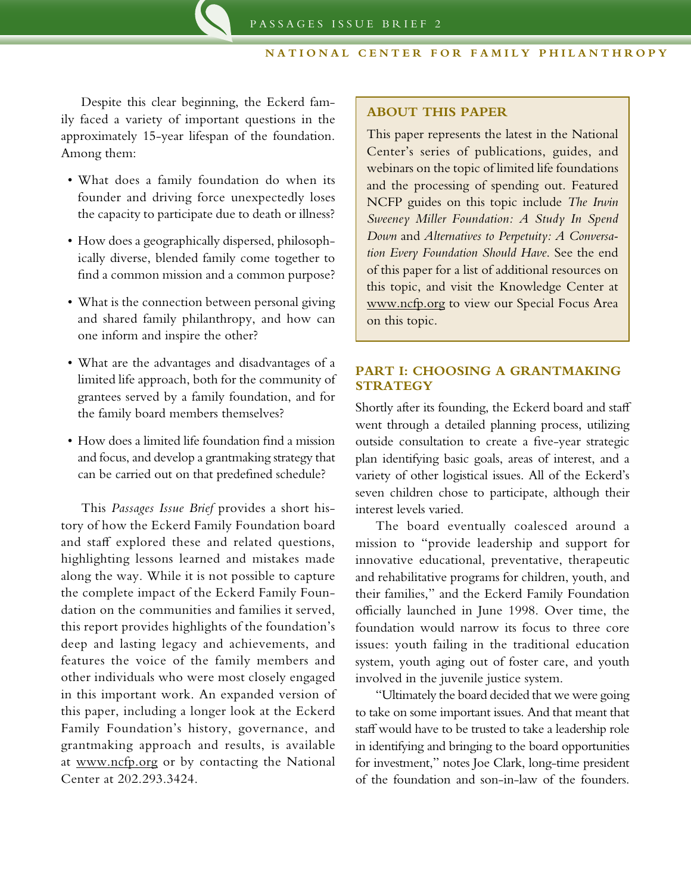Despite this clear beginning, the Eckerd family faced a variety of important questions in the approximately 15-year lifespan of the foundation. Among them:

- • What does a family foundation do when its founder and driving force unexpectedly loses the capacity to participate due to death or illness?
- • How does a geographically dispersed, philosophically diverse, blended family come together to find a common mission and a common purpose?
- What is the connection between personal giving and shared family philanthropy, and how can one inform and inspire the other?
- • What are the advantages and disadvantages of a limited life approach, both for the community of grantees served by a family foundation, and for the family board members themselves?
- • How does a limited life foundation find a mission and focus, and develop a grantmaking strategy that can be carried out on that predefined schedule?

This *Passages Issue Brief* provides a short history of how the Eckerd Family Foundation board and staff explored these and related questions, highlighting lessons learned and mistakes made along the way. While it is not possible to capture the complete impact of the Eckerd Family Foundation on the communities and families it served, this report provides highlights of the foundation's deep and lasting legacy and achievements, and features the voice of the family members and other individuals who were most closely engaged in this important work. An expanded version of this paper, including a longer look at the Eckerd Family Foundation's history, governance, and grantmaking approach and results, is available at www.ncfp.org or by contacting the National Center at 202.293.3424.

#### **ABOUT THIS PAPER**

This paper represents the latest in the National Center's series of publications, guides, and webinars on the topic of limited life foundations and the processing of spending out. Featured NCFP guides on this topic include *The Irwin Sweeney Miller Foundation: A Study In Spend Down* and *Alternatives to Perpetuity: A Conversation Every Foundation Should Have*. See the end of this paper for a list of additional resources on this topic, and visit the Knowledge Center at www.ncfp.org to view our Special Focus Area on this topic.

## **PART I: CHOOSING A GRANTMAKING STRATEGY**

Shortly after its founding, the Eckerd board and staff went through a detailed planning process, utilizing outside consultation to create a five-year strategic plan identifying basic goals, areas of interest, and a variety of other logistical issues. All of the Eckerd's seven children chose to participate, although their interest levels varied.

The board eventually coalesced around a mission to "provide leadership and support for innovative educational, preventative, therapeutic and rehabilitative programs for children, youth, and their families," and the Eckerd Family Foundation officially launched in June 1998. Over time, the foundation would narrow its focus to three core issues: youth failing in the traditional education system, youth aging out of foster care, and youth involved in the juvenile justice system.

"Ultimately the board decided that we were going to take on some important issues. And that meant that staff would have to be trusted to take a leadership role in identifying and bringing to the board opportunities for investment," notes Joe Clark, long-time president of the foundation and son-in-law of the founders.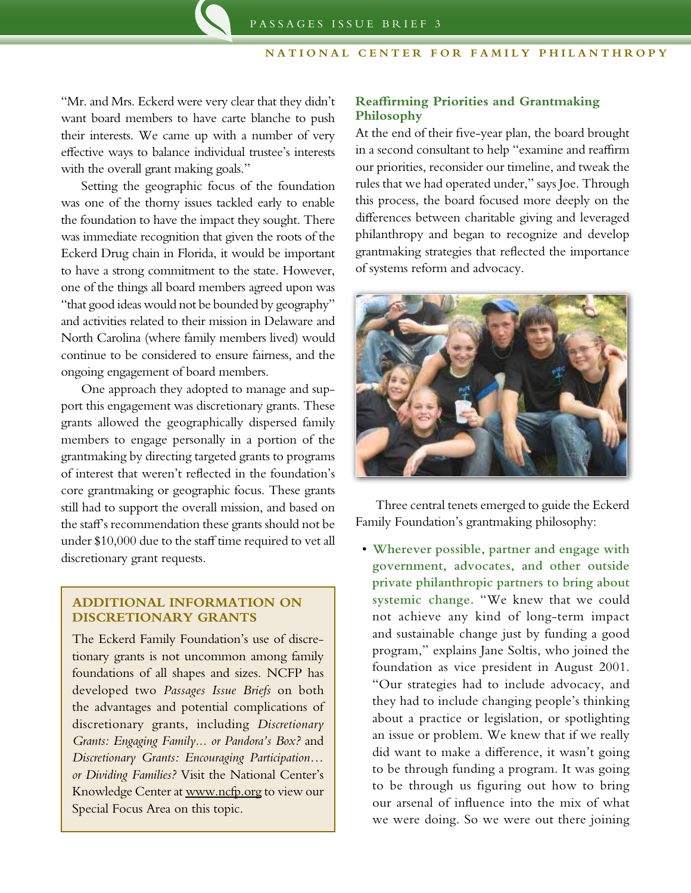"Mr. and Mrs. Eckerd were very clear that they didn't want board members to have carte blanche to push their interests. We came up with a number of very effective ways to balance individual trustee's interests with the overall grant making goals."

Setting the geographic focus of the foundation was one of the thorny issues tackled early to enable the foundation to have the impact they sought. There was immediate recognition that given the roots of the Eckerd Drug chain in Florida, it would be important to have a strong commitment to the state. However, one of the things all board members agreed upon was "that good ideas would not be bounded by geography" and activities related to their mission in Delaware and North Carolina (where family members lived) would continue to be considered to ensure fairness, and the ongoing engagement of board members.

One approach they adopted to manage and support this engagement was discretionary grants. These grants allowed the geographically dispersed family members to engage personally in a portion of the grantmaking by directing targeted grants to programs of interest that weren't reflected in the foundation's core grantmaking or geographic focus. These grants still had to support the overall mission, and based on the staff's recommendation these grants should not be under \$10,000 due to the staff time required to vet all discretionary grant requests.

## **ADDITIONAL INFORMATION ON DISCRETIONARY GRANTS**

The Eckerd Family Foundation's use of discretionary grants is not uncommon among family foundations of all shapes and sizes. NCFP has developed two *Passages Issue Briefs* on both the advantages and potential complications of discretionary grants, including *Discretionary Grants: Engaging Family... or Pandora's Box?* and *Discretionary Grants: Encouraging Participation… or Dividing Families?* Visit the National Center's Knowledge Center at www.ncfp.org to view our Special Focus Area on this topic.

# **Reaffirming Priorities and Grantmaking Philosophy**

At the end of their five-year plan, the board brought in a second consultant to help "examine and reaffirm our priorities, reconsider our timeline, and tweak the rules that we had operated under," says Joe. Through this process, the board focused more deeply on the differences between charitable giving and leveraged philanthropy and began to recognize and develop grantmaking strategies that reflected the importance of systems reform and advocacy.



Three central tenets emerged to guide the Eckerd Family Foundation's grantmaking philosophy:

• **Wherever possible, partner and engage with government, advocates, and other outside private philanthropic partners to bring about systemic change.** "We knew that we could not achieve any kind of long-term impact and sustainable change just by funding a good program," explains Jane Soltis, who joined the foundation as vice president in August 2001. "Our strategies had to include advocacy, and they had to include changing people's thinking about a practice or legislation, or spotlighting an issue or problem. We knew that if we really did want to make a difference, it wasn't going to be through funding a program. It was going to be through us figuring out how to bring our arsenal of influence into the mix of what we were doing. So we were out there joining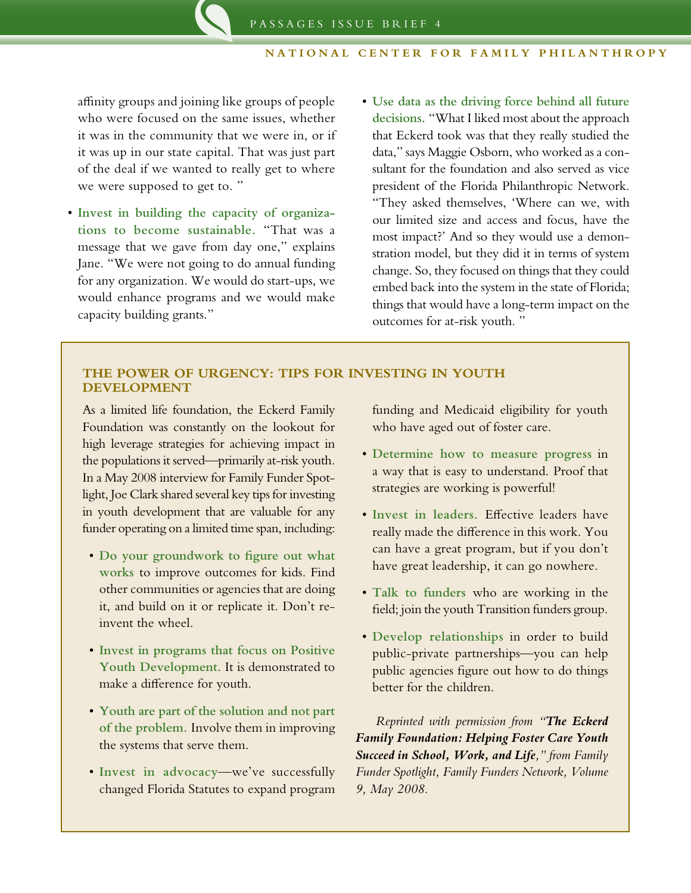affinity groups and joining like groups of people who were focused on the same issues, whether it was in the community that we were in, or if it was up in our state capital. That was just part of the deal if we wanted to really get to where we were supposed to get to. "

- • **Invest in building the capacity of organizations to become sustainable.** "That was a message that we gave from day one," explains Jane. "We were not going to do annual funding for any organization. We would do start-ups, we would enhance programs and we would make capacity building grants."
- • **Use data as the driving force behind all future decisions.** "What I liked most about the approach that Eckerd took was that they really studied the data," says Maggie Osborn, who worked as a consultant for the foundation and also served as vice president of the Florida Philanthropic Network. "They asked themselves, 'Where can we, with our limited size and access and focus, have the most impact?' And so they would use a demonstration model, but they did it in terms of system change. So, they focused on things that they could embed back into the system in the state of Florida; things that would have a long-term impact on the outcomes for at-risk youth. "

## **THE POWER OF URGENCY: TIPS FOR INVESTING IN YOUTH DEVELOPMENT**

As a limited life foundation, the Eckerd Family Foundation was constantly on the lookout for high leverage strategies for achieving impact in the populations it served—primarily at-risk youth. In a May 2008 interview for Family Funder Spotlight, Joe Clark shared several key tips for investing in youth development that are valuable for any funder operating on a limited time span, including:

- • **Do your groundwork to figure out what works** to improve outcomes for kids. Find other communities or agencies that are doing it, and build on it or replicate it. Don't reinvent the wheel.
- • **Invest in programs that focus on Positive Youth Development.** It is demonstrated to make a difference for youth.
- • **Youth are part of the solution and not part of the problem.** Involve them in improving the systems that serve them.
- • **Invest in advocacy**—we've successfully changed Florida Statutes to expand program

funding and Medicaid eligibility for youth who have aged out of foster care.

- • **Determine how to measure progress** in a way that is easy to understand. Proof that strategies are working is powerful!
- • **Invest in leaders.** Effective leaders have really made the difference in this work. You can have a great program, but if you don't have great leadership, it can go nowhere.
- • **Talk to funders** who are working in the field; join the youth Transition funders group.
- • **Develop relationships** in order to build public-private partnerships—you can help public agencies figure out how to do things better for the children.

*Reprinted with permission from "The Eckerd Family Foundation: Helping Foster Care Youth Succeed in School, Work, and Life," from Family Funder Spotlight, Family Funders Network, Volume 9, May 2008.*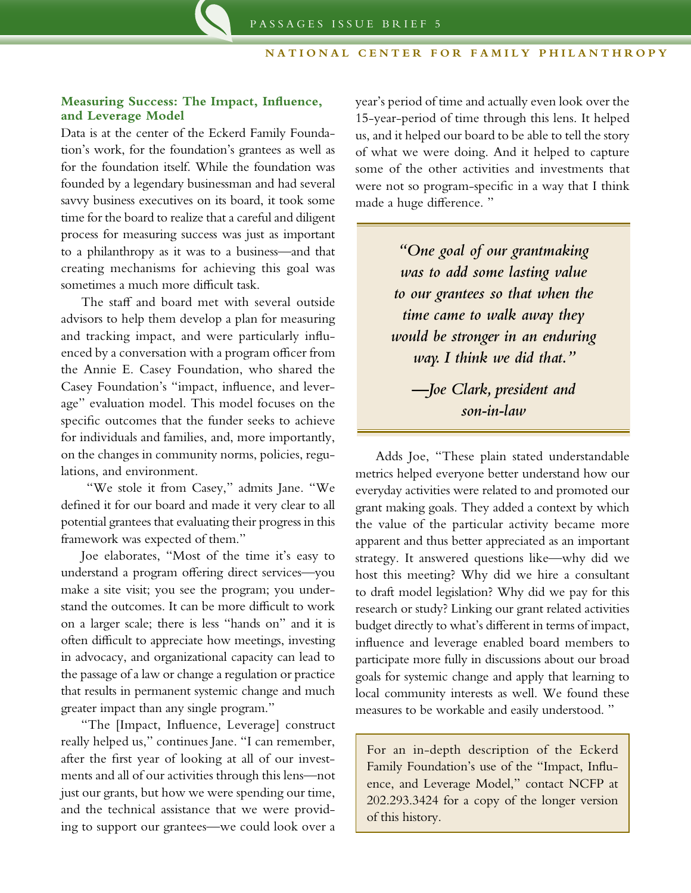## **Measuring Success: The Impact, Influence, and Leverage Model**

Data is at the center of the Eckerd Family Foundation's work, for the foundation's grantees as well as for the foundation itself. While the foundation was founded by a legendary businessman and had several savvy business executives on its board, it took some time for the board to realize that a careful and diligent process for measuring success was just as important to a philanthropy as it was to a business—and that creating mechanisms for achieving this goal was sometimes a much more difficult task.

The staff and board met with several outside advisors to help them develop a plan for measuring and tracking impact, and were particularly influenced by a conversation with a program officer from the Annie E. Casey Foundation, who shared the Casey Foundation's "impact, influence, and leverage" evaluation model. This model focuses on the specific outcomes that the funder seeks to achieve for individuals and families, and, more importantly, on the changes in community norms, policies, regulations, and environment.

 "We stole it from Casey," admits Jane. "We defined it for our board and made it very clear to all potential grantees that evaluating their progress in this framework was expected of them."

Joe elaborates, "Most of the time it's easy to understand a program offering direct services—you make a site visit; you see the program; you understand the outcomes. It can be more difficult to work on a larger scale; there is less "hands on" and it is often difficult to appreciate how meetings, investing in advocacy, and organizational capacity can lead to the passage of a law or change a regulation or practice that results in permanent systemic change and much greater impact than any single program."

"The [Impact, Influence, Leverage] construct really helped us," continues Jane. "I can remember, after the first year of looking at all of our investments and all of our activities through this lens—not just our grants, but how we were spending our time, and the technical assistance that we were providing to support our grantees—we could look over a

year's period of time and actually even look over the 15-year-period of time through this lens. It helped us, and it helped our board to be able to tell the story of what we were doing. And it helped to capture some of the other activities and investments that were not so program-specific in a way that I think made a huge difference. "

> *"One goal of our grantmaking was to add some lasting value to our grantees so that when the time came to walk away they would be stronger in an enduring way. I think we did that."*

*—Joe Clark, president and son-in-law*

Adds Joe, "These plain stated understandable metrics helped everyone better understand how our everyday activities were related to and promoted our grant making goals. They added a context by which the value of the particular activity became more apparent and thus better appreciated as an important strategy. It answered questions like—why did we host this meeting? Why did we hire a consultant to draft model legislation? Why did we pay for this research or study? Linking our grant related activities budget directly to what's different in terms of impact, influence and leverage enabled board members to participate more fully in discussions about our broad goals for systemic change and apply that learning to local community interests as well. We found these measures to be workable and easily understood. "

For an in-depth description of the Eckerd Family Foundation's use of the "Impact, Influence, and Leverage Model," contact NCFP at 202.293.3424 for a copy of the longer version of this history.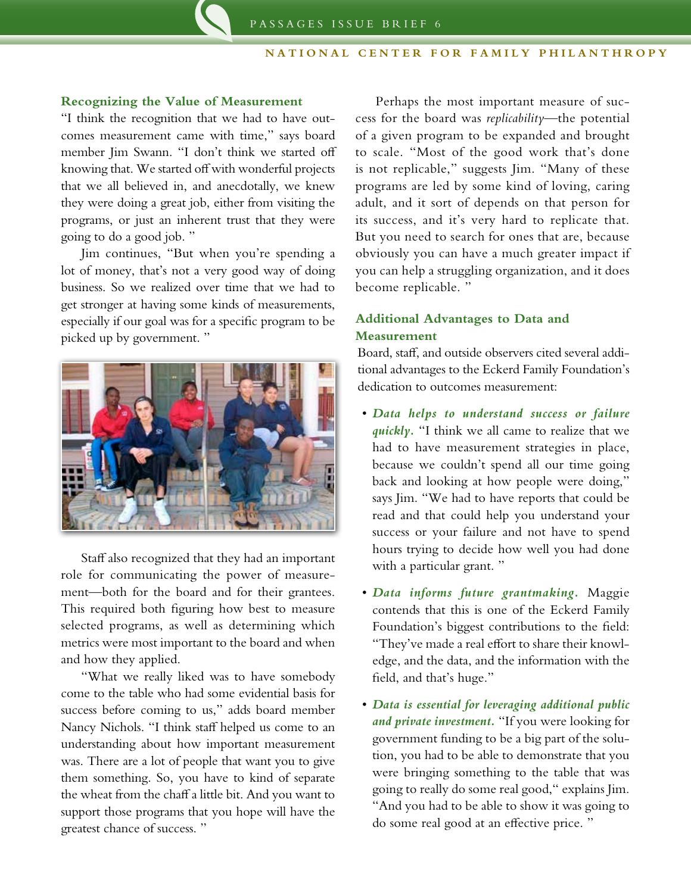## **Recognizing the Value of Measurement**

"I think the recognition that we had to have outcomes measurement came with time," says board member Jim Swann. "I don't think we started off knowing that. We started off with wonderful projects that we all believed in, and anecdotally, we knew they were doing a great job, either from visiting the programs, or just an inherent trust that they were going to do a good job. "

Jim continues, "But when you're spending a lot of money, that's not a very good way of doing business. So we realized over time that we had to get stronger at having some kinds of measurements, especially if our goal was for a specific program to be picked up by government. "



Staff also recognized that they had an important role for communicating the power of measurement—both for the board and for their grantees. This required both figuring how best to measure selected programs, as well as determining which metrics were most important to the board and when and how they applied.

"What we really liked was to have somebody come to the table who had some evidential basis for success before coming to us," adds board member Nancy Nichols. "I think staff helped us come to an understanding about how important measurement was. There are a lot of people that want you to give them something. So, you have to kind of separate the wheat from the chaff a little bit. And you want to support those programs that you hope will have the greatest chance of success. "

Perhaps the most important measure of success for the board was *replicability*—the potential of a given program to be expanded and brought to scale. "Most of the good work that's done is not replicable," suggests Jim. "Many of these programs are led by some kind of loving, caring adult, and it sort of depends on that person for its success, and it's very hard to replicate that. But you need to search for ones that are, because obviously you can have a much greater impact if you can help a struggling organization, and it does become replicable. "

# **Additional Advantages to Data and Measurement**

Board, staff, and outside observers cited several additional advantages to the Eckerd Family Foundation's dedication to outcomes measurement:

- • *Data helps to understand success or failure quickly.* "I think we all came to realize that we had to have measurement strategies in place, because we couldn't spend all our time going back and looking at how people were doing," says Jim. "We had to have reports that could be read and that could help you understand your success or your failure and not have to spend hours trying to decide how well you had done with a particular grant."
- • *Data informs future grantmaking.* Maggie contends that this is one of the Eckerd Family Foundation's biggest contributions to the field: "They've made a real effort to share their knowledge, and the data, and the information with the field, and that's huge."
- • *Data is essential for leveraging additional public and private investment.* "If you were looking for government funding to be a big part of the solution, you had to be able to demonstrate that you were bringing something to the table that was going to really do some real good," explains Jim. "And you had to be able to show it was going to do some real good at an effective price. "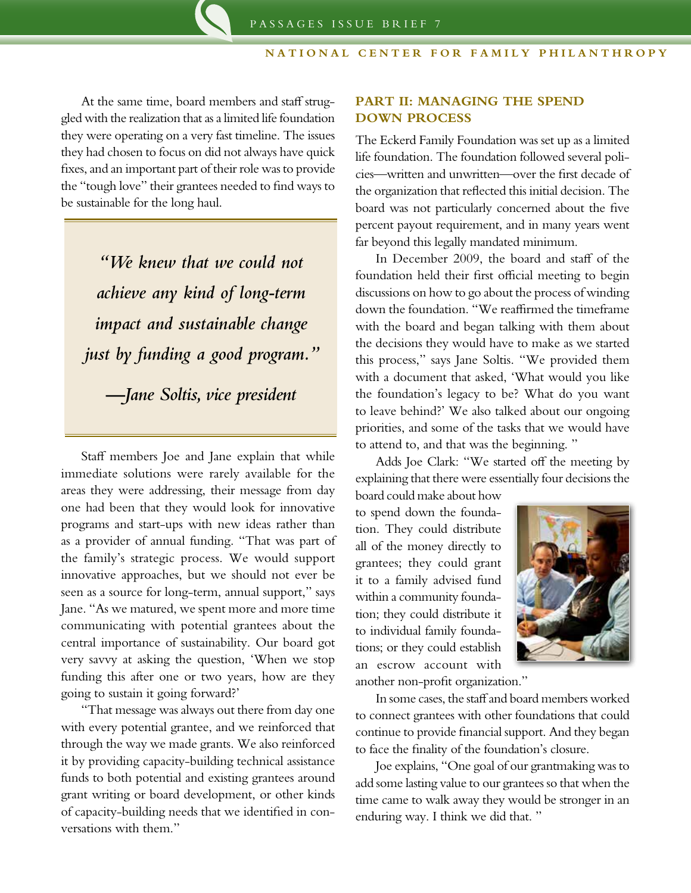At the same time, board members and staff struggled with the realization that as a limited life foundation they were operating on a very fast timeline. The issues they had chosen to focus on did not always have quick fixes, and an important part of their role was to provide the "tough love" their grantees needed to find ways to be sustainable for the long haul.

*"We knew that we could not achieve any kind of long-term impact and sustainable change just by funding a good program."*

*—Jane Soltis, vice president*

Staff members Joe and Jane explain that while immediate solutions were rarely available for the areas they were addressing, their message from day one had been that they would look for innovative programs and start-ups with new ideas rather than as a provider of annual funding. "That was part of the family's strategic process. We would support innovative approaches, but we should not ever be seen as a source for long-term, annual support," says Jane. "As we matured, we spent more and more time communicating with potential grantees about the central importance of sustainability. Our board got very savvy at asking the question, 'When we stop funding this after one or two years, how are they going to sustain it going forward?'

"That message was always out there from day one with every potential grantee, and we reinforced that through the way we made grants. We also reinforced it by providing capacity-building technical assistance funds to both potential and existing grantees around grant writing or board development, or other kinds of capacity-building needs that we identified in conversations with them."

# **PART II: MANAGING THE SPEND DOWN PROCESS**

The Eckerd Family Foundation was set up as a limited life foundation. The foundation followed several policies—written and unwritten—over the first decade of the organization that reflected this initial decision. The board was not particularly concerned about the five percent payout requirement, and in many years went far beyond this legally mandated minimum.

In December 2009, the board and staff of the foundation held their first official meeting to begin discussions on how to go about the process of winding down the foundation. "We reaffirmed the timeframe with the board and began talking with them about the decisions they would have to make as we started this process," says Jane Soltis. "We provided them with a document that asked, 'What would you like the foundation's legacy to be? What do you want to leave behind?' We also talked about our ongoing priorities, and some of the tasks that we would have to attend to, and that was the beginning. "

Adds Joe Clark: "We started off the meeting by explaining that there were essentially four decisions the

board could make about how to spend down the foundation. They could distribute all of the money directly to grantees; they could grant it to a family advised fund within a community foundation; they could distribute it to individual family foundations; or they could establish an escrow account with



another non-profit organization."

In some cases, the staff and board members worked to connect grantees with other foundations that could continue to provide financial support. And they began to face the finality of the foundation's closure.

Joe explains, "One goal of our grantmaking was to add some lasting value to our grantees so that when the time came to walk away they would be stronger in an enduring way. I think we did that. "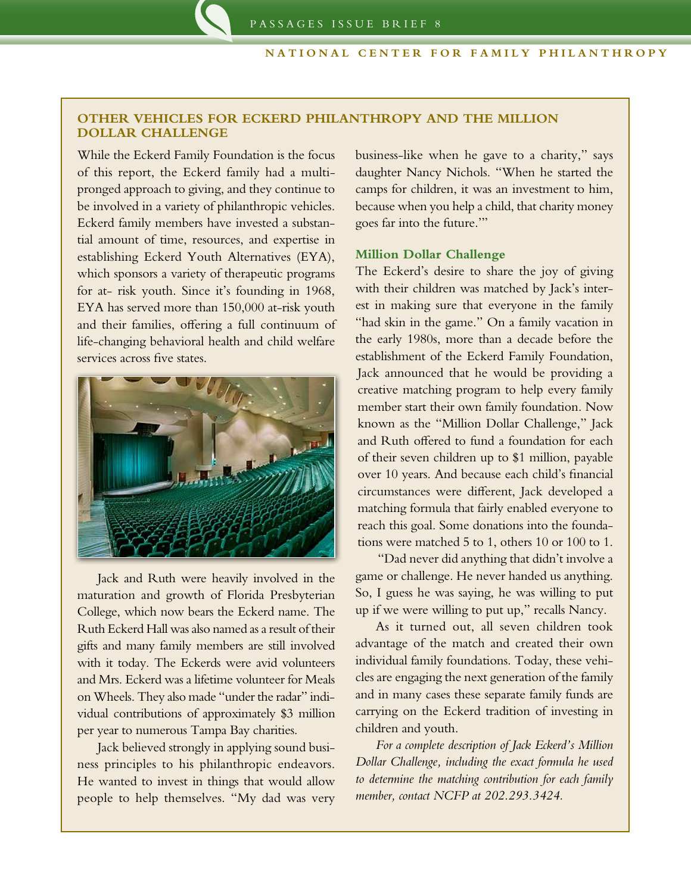## **Other Vehicles for Eckerd Philanthropy and the Million Dollar Challenge**

While the Eckerd Family Foundation is the focus of this report, the Eckerd family had a multipronged approach to giving, and they continue to be involved in a variety of philanthropic vehicles. Eckerd family members have invested a substantial amount of time, resources, and expertise in establishing Eckerd Youth Alternatives (EYA), which sponsors a variety of therapeutic programs for at- risk youth. Since it's founding in 1968, EYA has served more than 150,000 at-risk youth and their families, offering a full continuum of life-changing behavioral health and child welfare services across five states.



Jack and Ruth were heavily involved in the maturation and growth of Florida Presbyterian College, which now bears the Eckerd name. The Ruth Eckerd Hall was also named as a result of their gifts and many family members are still involved with it today. The Eckerds were avid volunteers and Mrs. Eckerd was a lifetime volunteer for Meals on Wheels. They also made "under the radar" individual contributions of approximately \$3 million per year to numerous Tampa Bay charities.

Jack believed strongly in applying sound business principles to his philanthropic endeavors. He wanted to invest in things that would allow people to help themselves. "My dad was very business-like when he gave to a charity," says daughter Nancy Nichols. "When he started the camps for children, it was an investment to him, because when you help a child, that charity money goes far into the future.'"

### **Million Dollar Challenge**

The Eckerd's desire to share the joy of giving with their children was matched by Jack's interest in making sure that everyone in the family "had skin in the game." On a family vacation in the early 1980s, more than a decade before the establishment of the Eckerd Family Foundation, Jack announced that he would be providing a creative matching program to help every family member start their own family foundation. Now known as the "Million Dollar Challenge," Jack and Ruth offered to fund a foundation for each of their seven children up to \$1 million, payable over 10 years. And because each child's financial circumstances were different, Jack developed a matching formula that fairly enabled everyone to reach this goal. Some donations into the foundations were matched 5 to 1, others 10 or 100 to 1.

"Dad never did anything that didn't involve a game or challenge. He never handed us anything. So, I guess he was saying, he was willing to put up if we were willing to put up," recalls Nancy.

As it turned out, all seven children took advantage of the match and created their own individual family foundations. Today, these vehicles are engaging the next generation of the family and in many cases these separate family funds are carrying on the Eckerd tradition of investing in children and youth.

*For a complete description of Jack Eckerd's Million Dollar Challenge, including the exact formula he used to determine the matching contribution for each family member, contact NCFP at 202.293.3424.*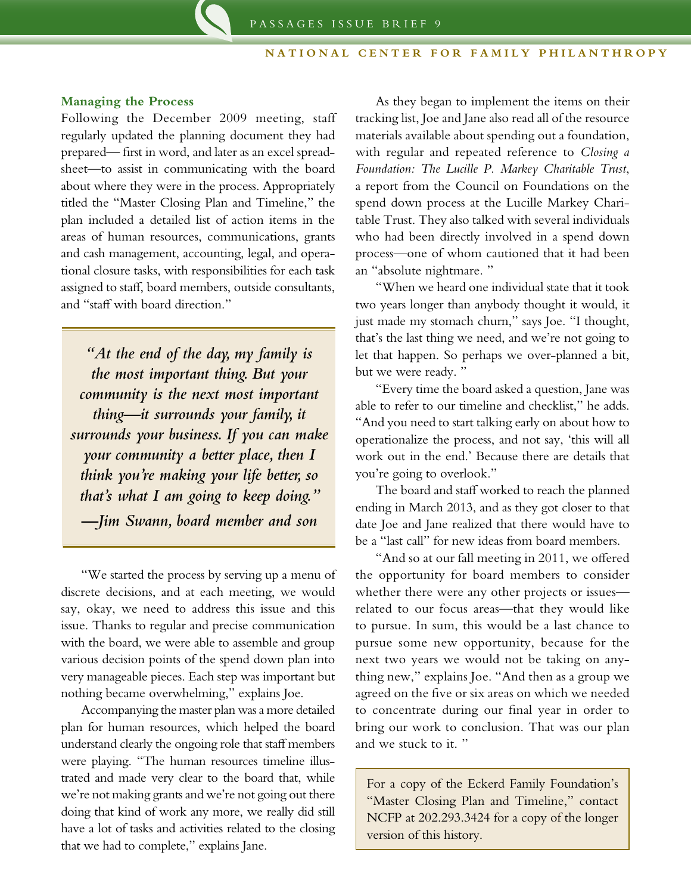#### **Managing the Process**

Following the December 2009 meeting, staff regularly updated the planning document they had prepared— first in word, and later as an excel spreadsheet—to assist in communicating with the board about where they were in the process. Appropriately titled the "Master Closing Plan and Timeline," the plan included a detailed list of action items in the areas of human resources, communications, grants and cash management, accounting, legal, and operational closure tasks, with responsibilities for each task assigned to staff, board members, outside consultants, and "staff with board direction."

*"At the end of the day, my family is the most important thing. But your community is the next most important thing—it surrounds your family, it surrounds your business. If you can make your community a better place, then I think you're making your life better, so that's what I am going to keep doing." —Jim Swann, board member and son*

"We started the process by serving up a menu of discrete decisions, and at each meeting, we would say, okay, we need to address this issue and this issue. Thanks to regular and precise communication with the board, we were able to assemble and group various decision points of the spend down plan into very manageable pieces. Each step was important but nothing became overwhelming," explains Joe.

Accompanying the master plan was a more detailed plan for human resources, which helped the board understand clearly the ongoing role that staff members were playing. "The human resources timeline illustrated and made very clear to the board that, while we're not making grants and we're not going out there doing that kind of work any more, we really did still have a lot of tasks and activities related to the closing that we had to complete," explains Jane.

As they began to implement the items on their tracking list, Joe and Jane also read all of the resource materials available about spending out a foundation, with regular and repeated reference to *Closing a Foundation: The Lucille P. Markey Charitable Trust*, a report from the Council on Foundations on the spend down process at the Lucille Markey Charitable Trust. They also talked with several individuals who had been directly involved in a spend down process—one of whom cautioned that it had been an "absolute nightmare. "

"When we heard one individual state that it took two years longer than anybody thought it would, it just made my stomach churn," says Joe. "I thought, that's the last thing we need, and we're not going to let that happen. So perhaps we over-planned a bit, but we were ready. "

"Every time the board asked a question, Jane was able to refer to our timeline and checklist," he adds. "And you need to start talking early on about how to operationalize the process, and not say, 'this will all work out in the end.' Because there are details that you're going to overlook."

The board and staff worked to reach the planned ending in March 2013, and as they got closer to that date Joe and Jane realized that there would have to be a "last call" for new ideas from board members.

"And so at our fall meeting in 2011, we offered the opportunity for board members to consider whether there were any other projects or issues related to our focus areas—that they would like to pursue. In sum, this would be a last chance to pursue some new opportunity, because for the next two years we would not be taking on anything new," explains Joe. "And then as a group we agreed on the five or six areas on which we needed to concentrate during our final year in order to bring our work to conclusion. That was our plan and we stuck to it. "

For a copy of the Eckerd Family Foundation's "Master Closing Plan and Timeline," contact NCFP at 202.293.3424 for a copy of the longer version of this history.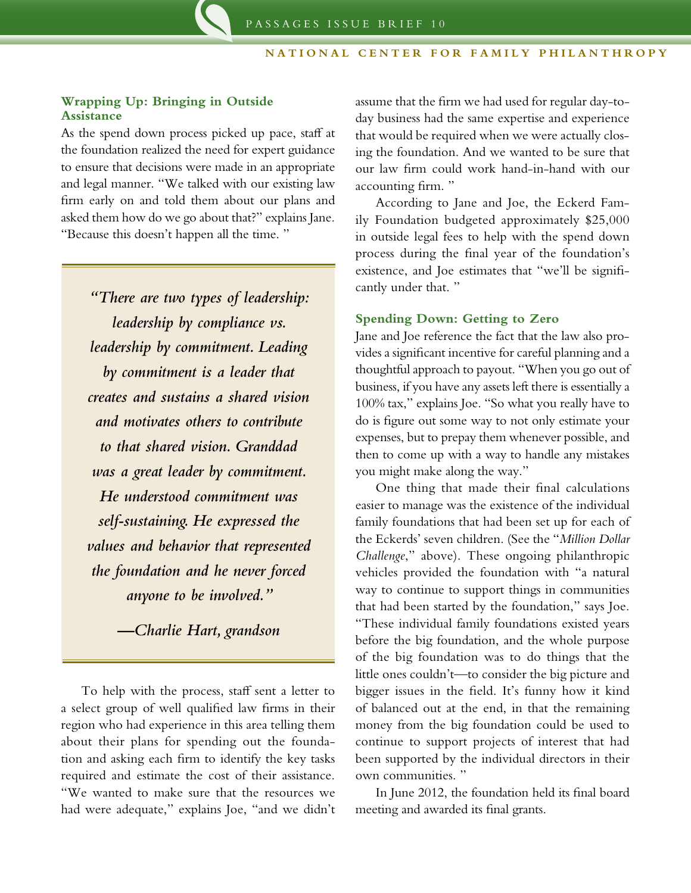## **Wrapping Up: Bringing in Outside Assistance**

As the spend down process picked up pace, staff at the foundation realized the need for expert guidance to ensure that decisions were made in an appropriate and legal manner. "We talked with our existing law firm early on and told them about our plans and asked them how do we go about that?" explains Jane. "Because this doesn't happen all the time. "

*"There are two types of leadership: leadership by compliance vs. leadership by commitment. Leading by commitment is a leader that creates and sustains a shared vision and motivates others to contribute to that shared vision. Granddad was a great leader by commitment. He understood commitment was self-sustaining. He expressed the values and behavior that represented the foundation and he never forced anyone to be involved."*

*—Charlie Hart, grandson*

To help with the process, staff sent a letter to a select group of well qualified law firms in their region who had experience in this area telling them about their plans for spending out the foundation and asking each firm to identify the key tasks required and estimate the cost of their assistance. "We wanted to make sure that the resources we had were adequate," explains Joe, "and we didn't assume that the firm we had used for regular day-today business had the same expertise and experience that would be required when we were actually closing the foundation. And we wanted to be sure that our law firm could work hand-in-hand with our accounting firm. "

According to Jane and Joe, the Eckerd Family Foundation budgeted approximately \$25,000 in outside legal fees to help with the spend down process during the final year of the foundation's existence, and Joe estimates that "we'll be significantly under that. "

#### **Spending Down: Getting to Zero**

Jane and Joe reference the fact that the law also provides a significant incentive for careful planning and a thoughtful approach to payout. "When you go out of business, if you have any assets left there is essentially a 100% tax," explains Joe. "So what you really have to do is figure out some way to not only estimate your expenses, but to prepay them whenever possible, and then to come up with a way to handle any mistakes you might make along the way."

One thing that made their final calculations easier to manage was the existence of the individual family foundations that had been set up for each of the Eckerds' seven children. (See the "*Million Dollar Challenge*," above). These ongoing philanthropic vehicles provided the foundation with "a natural way to continue to support things in communities that had been started by the foundation," says Joe. "These individual family foundations existed years before the big foundation, and the whole purpose of the big foundation was to do things that the little ones couldn't—to consider the big picture and bigger issues in the field. It's funny how it kind of balanced out at the end, in that the remaining money from the big foundation could be used to continue to support projects of interest that had been supported by the individual directors in their own communities. "

In June 2012, the foundation held its final board meeting and awarded its final grants.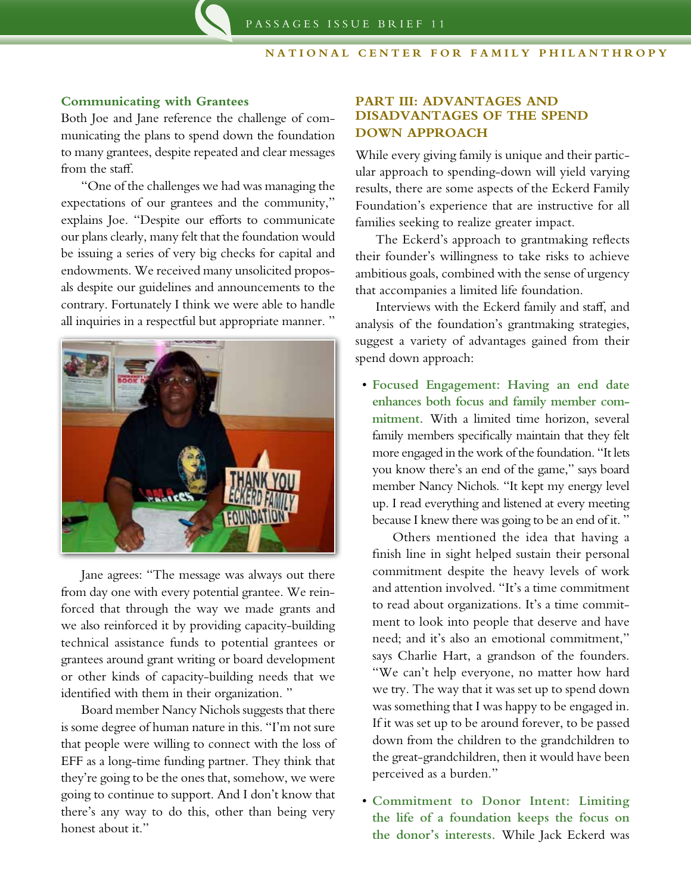#### **Communicating with Grantees**

Both Joe and Jane reference the challenge of communicating the plans to spend down the foundation to many grantees, despite repeated and clear messages from the staff.

"One of the challenges we had was managing the expectations of our grantees and the community," explains Joe. "Despite our efforts to communicate our plans clearly, many felt that the foundation would be issuing a series of very big checks for capital and endowments. We received many unsolicited proposals despite our guidelines and announcements to the contrary. Fortunately I think we were able to handle all inquiries in a respectful but appropriate manner. "



Jane agrees: "The message was always out there from day one with every potential grantee. We reinforced that through the way we made grants and we also reinforced it by providing capacity-building technical assistance funds to potential grantees or grantees around grant writing or board development or other kinds of capacity-building needs that we identified with them in their organization. "

Board member Nancy Nichols suggests that there is some degree of human nature in this. "I'm not sure that people were willing to connect with the loss of EFF as a long-time funding partner. They think that they're going to be the ones that, somehow, we were going to continue to support. And I don't know that there's any way to do this, other than being very honest about it."

# **PART III: ADVANTAGES AND DISADVANTAGES OF THE SPEND DOWN APPROACH**

While every giving family is unique and their particular approach to spending-down will yield varying results, there are some aspects of the Eckerd Family Foundation's experience that are instructive for all families seeking to realize greater impact.

The Eckerd's approach to grantmaking reflects their founder's willingness to take risks to achieve ambitious goals, combined with the sense of urgency that accompanies a limited life foundation.

Interviews with the Eckerd family and staff, and analysis of the foundation's grantmaking strategies, suggest a variety of advantages gained from their spend down approach:

• **Focused Engagement: Having an end date enhances both focus and family member commitment.** With a limited time horizon, several family members specifically maintain that they felt more engaged in the work of the foundation. "It lets you know there's an end of the game," says board member Nancy Nichols. "It kept my energy level up. I read everything and listened at every meeting because I knew there was going to be an end of it. "

Others mentioned the idea that having a finish line in sight helped sustain their personal commitment despite the heavy levels of work and attention involved. "It's a time commitment to read about organizations. It's a time commitment to look into people that deserve and have need; and it's also an emotional commitment," says Charlie Hart, a grandson of the founders. "We can't help everyone, no matter how hard we try. The way that it was set up to spend down was something that I was happy to be engaged in. If it was set up to be around forever, to be passed down from the children to the grandchildren to the great-grandchildren, then it would have been perceived as a burden."

• **Commitment to Donor Intent: Limiting the life of a foundation keeps the focus on the donor's interests.** While Jack Eckerd was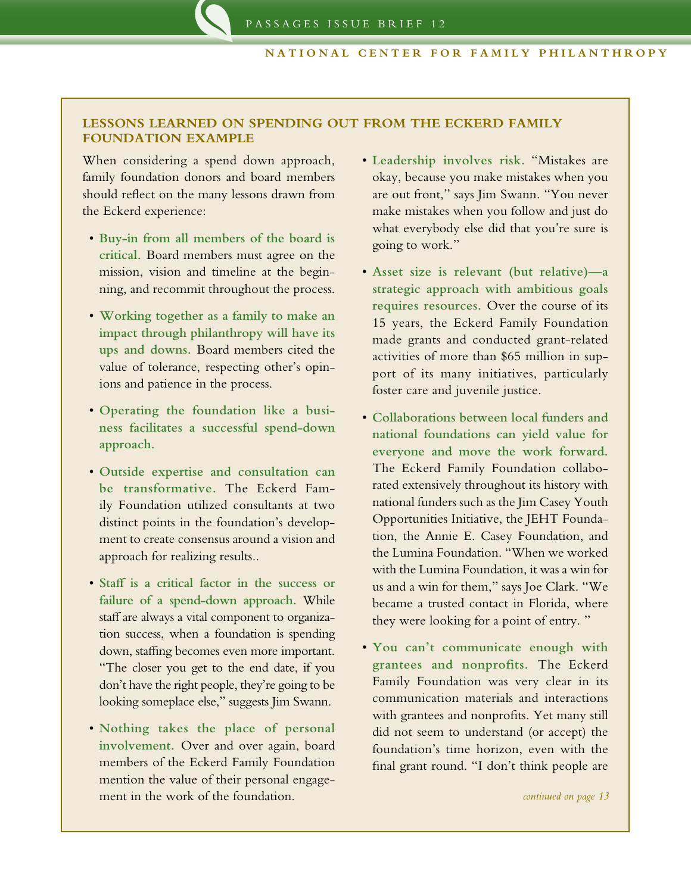# **Lessons Learned on Spending Out from The Eckerd Family Foundation Example**

When considering a spend down approach, family foundation donors and board members should reflect on the many lessons drawn from the Eckerd experience:

- • **Buy-in from all members of the board is critical.** Board members must agree on the mission, vision and timeline at the beginning, and recommit throughout the process.
- • **Working together as a family to make an impact through philanthropy will have its ups and downs.** Board members cited the value of tolerance, respecting other's opinions and patience in the process.
- • **Operating the foundation like a business facilitates a successful spend-down approach.**
- • **Outside expertise and consultation can be transformative.** The Eckerd Family Foundation utilized consultants at two distinct points in the foundation's development to create consensus around a vision and approach for realizing results..
- • **Staff is a critical factor in the success or failure of a spend-down approach.** While staff are always a vital component to organization success, when a foundation is spending down, staffing becomes even more important. "The closer you get to the end date, if you don't have the right people, they're going to be looking someplace else," suggests Jim Swann.
- • **Nothing takes the place of personal involvement.** Over and over again, board members of the Eckerd Family Foundation mention the value of their personal engagement in the work of the foundation.
- • **Leadership involves risk.** "Mistakes are okay, because you make mistakes when you are out front," says Jim Swann. "You never make mistakes when you follow and just do what everybody else did that you're sure is going to work."
- • **Asset size is relevant (but relative)—a strategic approach with ambitious goals requires resources.** Over the course of its 15 years, the Eckerd Family Foundation made grants and conducted grant-related activities of more than \$65 million in support of its many initiatives, particularly foster care and juvenile justice.
- • **Collaborations between local funders and national foundations can yield value for everyone and move the work forward.**  The Eckerd Family Foundation collaborated extensively throughout its history with national funders such as the Jim Casey Youth Opportunities Initiative, the JEHT Foundation, the Annie E. Casey Foundation, and the Lumina Foundation. "When we worked with the Lumina Foundation, it was a win for us and a win for them," says Joe Clark. "We became a trusted contact in Florida, where they were looking for a point of entry. "
- • **You can't communicate enough with grantees and nonprofits.** The Eckerd Family Foundation was very clear in its communication materials and interactions with grantees and nonprofits. Yet many still did not seem to understand (or accept) the foundation's time horizon, even with the final grant round. "I don't think people are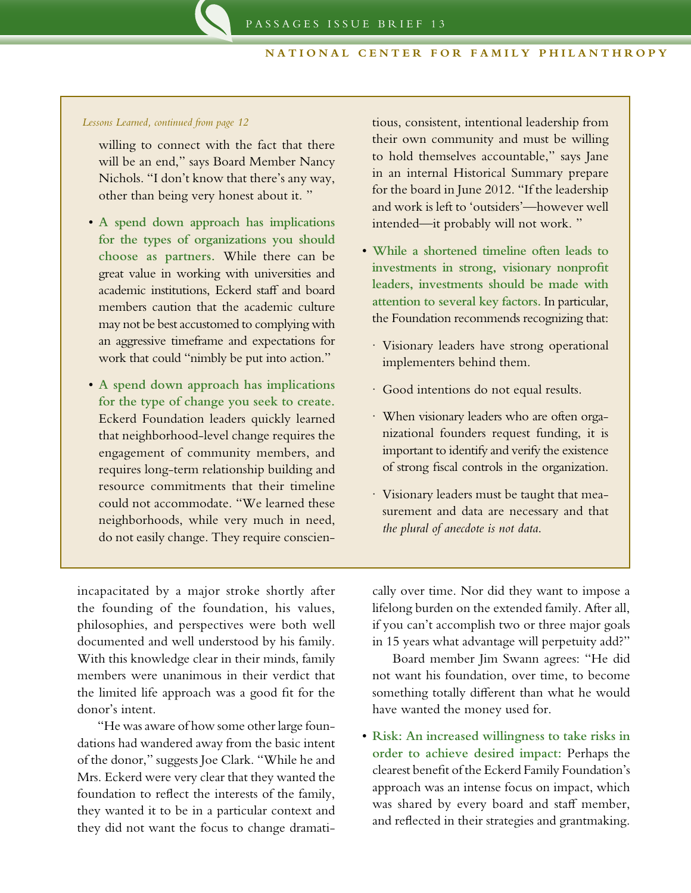#### *Lessons Learned, continued from page 12*

- willing to connect with the fact that there will be an end," says Board Member Nancy Nichols. "I don't know that there's any way, other than being very honest about it. "
- • **A spend down approach has implications for the types of organizations you should choose as partners.** While there can be great value in working with universities and academic institutions, Eckerd staff and board members caution that the academic culture may not be best accustomed to complying with an aggressive timeframe and expectations for work that could "nimbly be put into action."
- • **A spend down approach has implications for the type of change you seek to create.**  Eckerd Foundation leaders quickly learned that neighborhood-level change requires the engagement of community members, and requires long-term relationship building and resource commitments that their timeline could not accommodate. "We learned these neighborhoods, while very much in need, do not easily change. They require conscien-

tious, consistent, intentional leadership from their own community and must be willing to hold themselves accountable," says Jane in an internal Historical Summary prepare for the board in June 2012. "If the leadership and work is left to 'outsiders'—however well intended—it probably will not work. "

- • **While a shortened timeline often leads to investments in strong, visionary nonprofit leaders, investments should be made with attention to several key factors.** In particular, the Foundation recommends recognizing that:
	- · Visionary leaders have strong operational implementers behind them.
	- · Good intentions do not equal results.
	- · When visionary leaders who are often organizational founders request funding, it is important to identify and verify the existence of strong fiscal controls in the organization.
	- · Visionary leaders must be taught that measurement and data are necessary and that *the plural of anecdote is not data*.

incapacitated by a major stroke shortly after the founding of the foundation, his values, philosophies, and perspectives were both well documented and well understood by his family. With this knowledge clear in their minds, family members were unanimous in their verdict that the limited life approach was a good fit for the donor's intent.

"He was aware of how some other large foundations had wandered away from the basic intent of the donor," suggests Joe Clark. "While he and Mrs. Eckerd were very clear that they wanted the foundation to reflect the interests of the family, they wanted it to be in a particular context and they did not want the focus to change dramatically over time. Nor did they want to impose a lifelong burden on the extended family. After all, if you can't accomplish two or three major goals in 15 years what advantage will perpetuity add?"

Board member Jim Swann agrees: "He did not want his foundation, over time, to become something totally different than what he would have wanted the money used for.

• **Risk: An increased willingness to take risks in order to achieve desired impact:** Perhaps the clearest benefit of the Eckerd Family Foundation's approach was an intense focus on impact, which was shared by every board and staff member, and reflected in their strategies and grantmaking.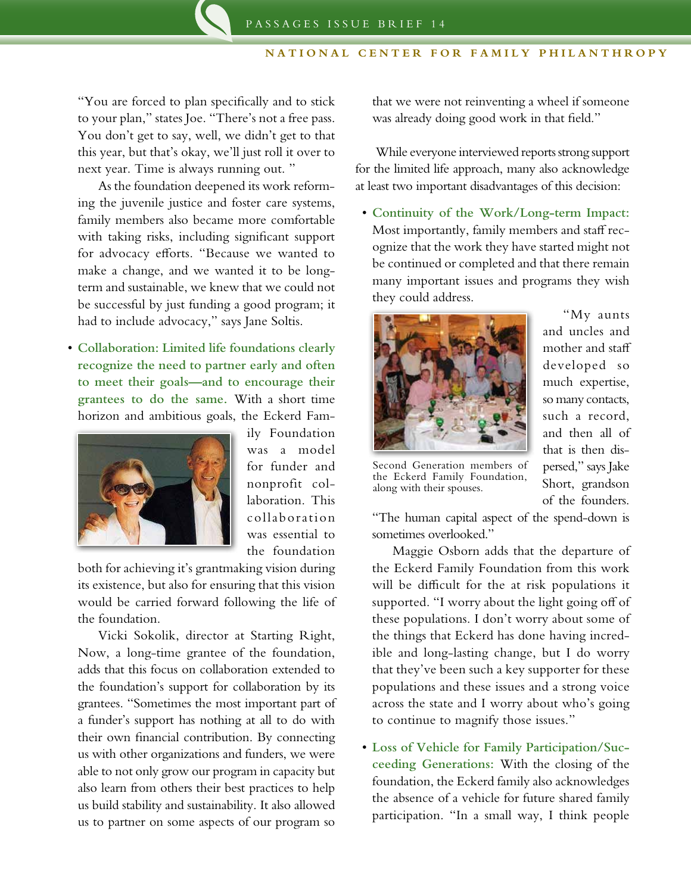"You are forced to plan specifically and to stick to your plan," states Joe. "There's not a free pass. You don't get to say, well, we didn't get to that this year, but that's okay, we'll just roll it over to next year. Time is always running out. "

As the foundation deepened its work reforming the juvenile justice and foster care systems, family members also became more comfortable with taking risks, including significant support for advocacy efforts. "Because we wanted to make a change, and we wanted it to be longterm and sustainable, we knew that we could not be successful by just funding a good program; it had to include advocacy," says Jane Soltis.

• **Collaboration: Limited life foundations clearly recognize the need to partner early and often to meet their goals—and to encourage their grantees to do the same.** With a short time horizon and ambitious goals, the Eckerd Fam-



ily Foundation was a model for funder and nonprofit collaboration. This collaboration was essential to the foundation

both for achieving it's grantmaking vision during its existence, but also for ensuring that this vision would be carried forward following the life of the foundation.

Vicki Sokolik, director at Starting Right, Now, a long-time grantee of the foundation, adds that this focus on collaboration extended to the foundation's support for collaboration by its grantees. "Sometimes the most important part of a funder's support has nothing at all to do with their own financial contribution. By connecting us with other organizations and funders, we were able to not only grow our program in capacity but also learn from others their best practices to help us build stability and sustainability. It also allowed us to partner on some aspects of our program so

that we were not reinventing a wheel if someone was already doing good work in that field."

While everyone interviewed reports strong support for the limited life approach, many also acknowledge at least two important disadvantages of this decision:

• **Continuity of the Work/Long-term Impact:**  Most importantly, family members and staff recognize that the work they have started might not be continued or completed and that there remain many important issues and programs they wish they could address.



"My aunts and uncles and mother and staff developed so much expertise, so many contacts, such a record, and then all of that is then dispersed," says Jake Short, grandson of the founders.

Second Generation members of the Eckerd Family Foundation, along with their spouses.

"The human capital aspect of the spend-down is sometimes overlooked."

Maggie Osborn adds that the departure of the Eckerd Family Foundation from this work will be difficult for the at risk populations it supported. "I worry about the light going off of these populations. I don't worry about some of the things that Eckerd has done having incredible and long-lasting change, but I do worry that they've been such a key supporter for these populations and these issues and a strong voice across the state and I worry about who's going to continue to magnify those issues."

• **Loss of Vehicle for Family Participation/Succeeding Generations:** With the closing of the foundation, the Eckerd family also acknowledges the absence of a vehicle for future shared family participation. "In a small way, I think people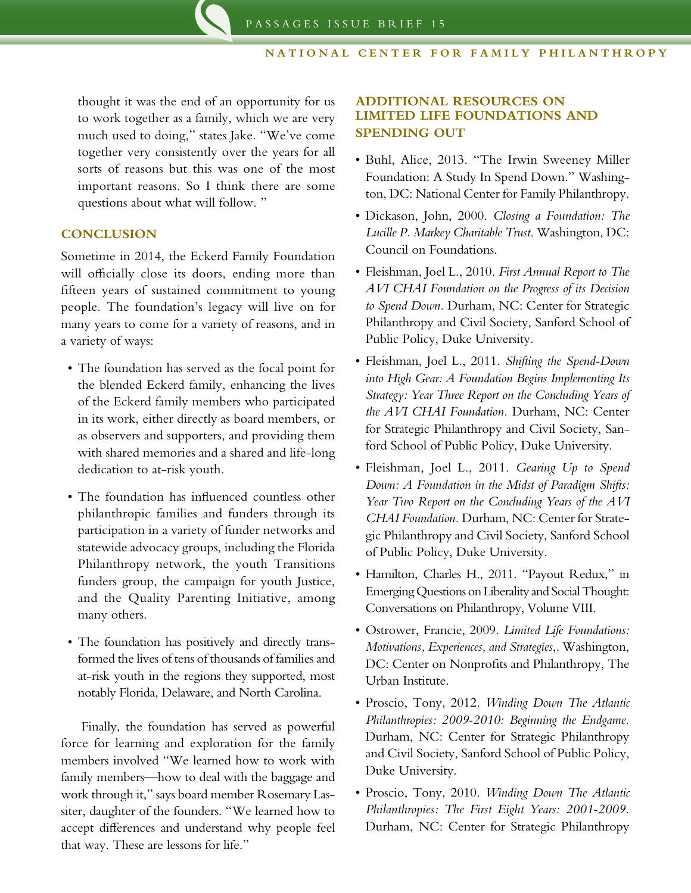thought it was the end of an opportunity for us to work together as a family, which we are very much used to doing," states Jake. "We've come together very consistently over the years for all sorts of reasons but this was one of the most important reasons. So I think there are some questions about what will follow. "

## **CONCLUSION**

Sometime in 2014, the Eckerd Family Foundation will officially close its doors, ending more than fifteen years of sustained commitment to young people. The foundation's legacy will live on for many years to come for a variety of reasons, and in a variety of ways:

- The foundation has served as the focal point for the blended Eckerd family, enhancing the lives of the Eckerd family members who participated in its work, either directly as board members, or as observers and supporters, and providing them with shared memories and a shared and life-long dedication to at-risk youth.
- The foundation has influenced countless other philanthropic families and funders through its participation in a variety of funder networks and statewide advocacy groups, including the Florida Philanthropy network, the youth Transitions funders group, the campaign for youth Justice, and the Quality Parenting Initiative, among many others.
- • The foundation has positively and directly transformed the lives of tens of thousands of families and at-risk youth in the regions they supported, most notably Florida, Delaware, and North Carolina.

Finally, the foundation has served as powerful force for learning and exploration for the family members involved "We learned how to work with family members—how to deal with the baggage and work through it," says board member Rosemary Lassiter, daughter of the founders. "We learned how to accept differences and understand why people feel that way. These are lessons for life."

# **ADDITIONAL RESOURCES ON LIMITED LIFE FOUNDATIONS AND SPENDING OUT**

- • Buhl, Alice, 2013. "The Irwin Sweeney Miller Foundation: A Study In Spend Down." Washington, DC: National Center for Family Philanthropy.
- • Dickason, John, 2000. *Closing a Foundation: The Lucille P. Markey Charitable Trust*. Washington, DC: Council on Foundations.
- • Fleishman, Joel L., 2010. *First Annual Report to The AVI CHAI Foundation on the Progress of its Decision to Spend Down.* Durham, NC: Center for Strategic Philanthropy and Civil Society, Sanford School of Public Policy, Duke University.
- • Fleishman, Joel L., 2011. *Shifting the Spend-Down into High Gear: A Foundation Begins Implementing Its Strategy: Year Three Report on the Concluding Years of the AVI CHAI Foundation.* Durham, NC: Center for Strategic Philanthropy and Civil Society, Sanford School of Public Policy, Duke University.
- • Fleishman, Joel L., 2011. *Gearing Up to Spend Down: A Foundation in the Midst of Paradigm Shifts: Year Two Report on the Concluding Years of the AVI CHAI Foundation.* Durham, NC: Center for Strategic Philanthropy and Civil Society, Sanford School of Public Policy, Duke University.
- • Hamilton, Charles H., 2011. "Payout Redux," in Emerging Questions on Liberality and Social Thought: Conversations on Philanthropy, Volume VIII.
- • Ostrower, Francie, 2009. *Limited Life Foundations: Motivations, Experiences, and Strategies*,. Washington, DC: Center on Nonprofits and Philanthropy, The Urban Institute.
- • Proscio, Tony, 2012. *Winding Down The Atlantic Philanthropies: 2009-2010: Beginning the Endgame.* Durham, NC: Center for Strategic Philanthropy and Civil Society, Sanford School of Public Policy, Duke University.
- • Proscio, Tony, 2010. *Winding Down The Atlantic Philanthropies: The First Eight Years: 2001-2009.*  Durham, NC: Center for Strategic Philanthropy